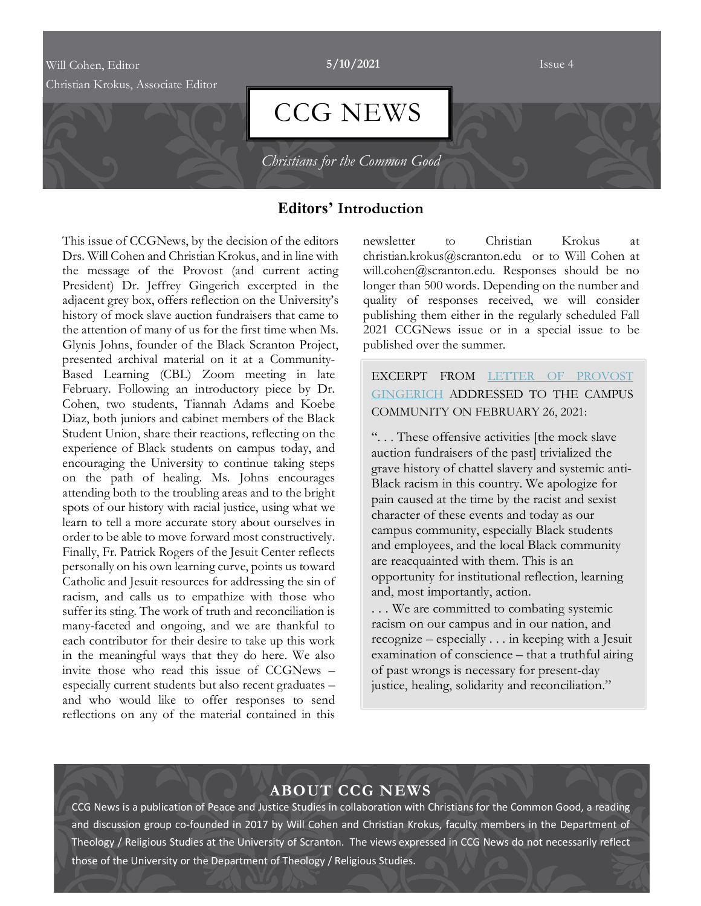## Will Cohen, Editor **5/10/2021** Issue 4

Christian Krokus, Associate Editor

# CCG NEWS

*Christians for the Common Good* 

## **Editors' Introduction**

This issue of CCGNews, by the decision of the editors Drs. Will Cohen and Christian Krokus, and in line with the message of the Provost (and current acting President) Dr. Jeffrey Gingerich excerpted in the adjacent grey box, offers reflection on the University's history of mock slave auction fundraisers that came to the attention of many of us for the first time when Ms. Glynis Johns, founder of the Black Scranton Project, presented archival material on it at a Community-Based Learning (CBL) Zoom meeting in late February. Following an introductory piece by Dr. Cohen, two students, Tiannah Adams and Koebe Diaz, both juniors and cabinet members of the Black Student Union, share their reactions, reflecting on the experience of Black students on campus today, and encouraging the University to continue taking steps on the path of healing. Ms. Johns encourages attending both to the troubling areas and to the bright spots of our history with racial justice, using what we learn to tell a more accurate story about ourselves in order to be able to move forward most constructively. Finally, Fr. Patrick Rogers of the Jesuit Center reflects personally on his own learning curve, points us toward Catholic and Jesuit resources for addressing the sin of racism, and calls us to empathize with those who suffer its sting. The work of truth and reconciliation is many-faceted and ongoing, and we are thankful to each contributor for their desire to take up this work in the meaningful ways that they do here. We also invite those who read this issue of CCGNews – especially current students but also recent graduates – and who would like to offer responses to send reflections on any of the material contained in this

newsletter to Christian Krokus at christian.krokus@scranton.edu or to Will Cohen at will.cohen@scranton.edu. Responses should be no longer than 500 words. Depending on the number and quality of responses received, we will consider publishing them either in the regularly scheduled Fall 2021 CCGNews issue or in a special issue to be published over the summer.

EXCERPT FROM LETTER OF PROVOST GINGERICH ADDRESSED TO THE CAMPUS COMMUNITY ON FEBRUARY 26, 2021:

". . . These offensive activities [the mock slave auction fundraisers of the past] trivialized the grave history of chattel slavery and systemic anti-Black racism in this country. We apologize for pain caused at the time by the racist and sexist character of these events and today as our campus community, especially Black students and employees, and the local Black community are reacquainted with them. This is an opportunity for institutional reflection, learning and, most importantly, action.

. . . We are committed to combating systemic racism on our campus and in our nation, and recognize – especially . . . in keeping with a Jesuit examination of conscience – that a truthful airing of past wrongs is necessary for present-day justice, healing, solidarity and reconciliation."

# **ABOUT CCG NEWS**

CCG News is a publication of Peace and Justice Studies in collaboration with Christians for the Common Good, a reading and discussion group co-founded in 2017 by Will Cohen and Christian Krokus, faculty members in the Department of Theology / Religious Studies at the University of Scranton. The views expressed in CCG News do not necessarily reflect those of the University or the Department of Theology / Religious Studies.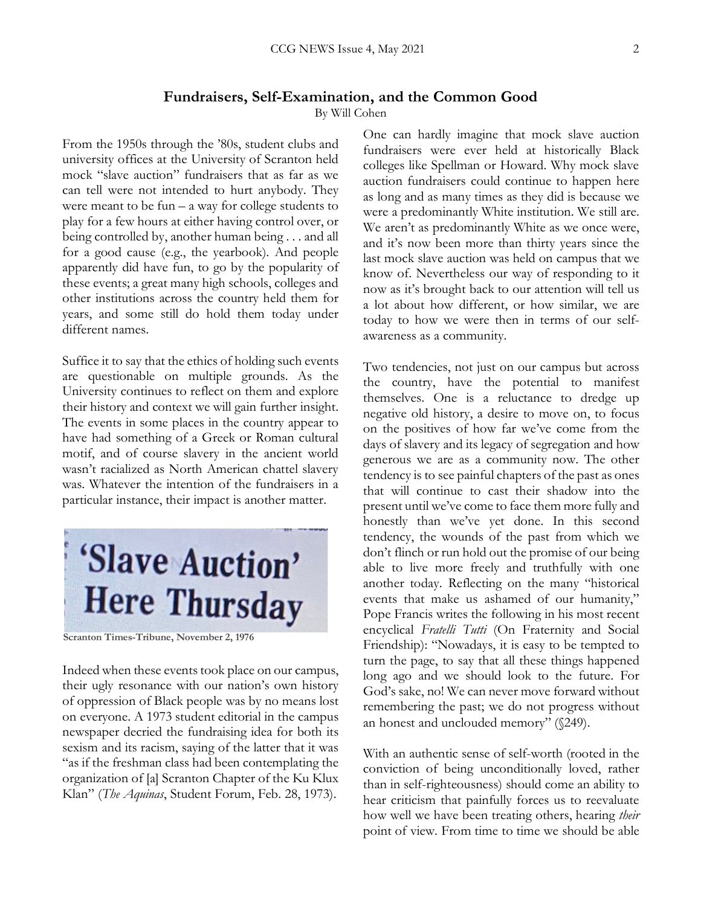## **Fundraisers, Self-Examination, and the Common Good**

By Will Cohen

From the 1950s through the '80s, student clubs and university offices at the University of Scranton held mock "slave auction" fundraisers that as far as we can tell were not intended to hurt anybody. They were meant to be fun  $-$  a way for college students to play for a few hours at either having control over, or being controlled by, another human being . . . and all for a good cause (e.g., the yearbook). And people apparently did have fun, to go by the popularity of these events; a great many high schools, colleges and other institutions across the country held them for years, and some still do hold them today under different names.

Suffice it to say that the ethics of holding such events are questionable on multiple grounds. As the University continues to reflect on them and explore their history and context we will gain further insight. The events in some places in the country appear to have had something of a Greek or Roman cultural motif, and of course slavery in the ancient world wasn't racialized as North American chattel slavery was. Whatever the intention of the fundraisers in a particular instance, their impact is another matter.



**Scranton Times-Tribune, November 2, 1976**

Indeed when these events took place on our campus, their ugly resonance with our nation's own history of oppression of Black people was by no means lost on everyone. A 1973 student editorial in the campus newspaper decried the fundraising idea for both its sexism and its racism, saying of the latter that it was "as if the freshman class had been contemplating the organization of [a] Scranton Chapter of the Ku Klux Klan" (*The Aquinas*, Student Forum, Feb. 28, 1973).

One can hardly imagine that mock slave auction fundraisers were ever held at historically Black colleges like Spellman or Howard. Why mock slave auction fundraisers could continue to happen here as long and as many times as they did is because we were a predominantly White institution. We still are. We aren't as predominantly White as we once were, and it's now been more than thirty years since the last mock slave auction was held on campus that we know of. Nevertheless our way of responding to it now as it's brought back to our attention will tell us a lot about how different, or how similar, we are today to how we were then in terms of our selfawareness as a community.

Two tendencies, not just on our campus but across the country, have the potential to manifest themselves. One is a reluctance to dredge up negative old history, a desire to move on, to focus on the positives of how far we've come from the days of slavery and its legacy of segregation and how generous we are as a community now. The other tendency is to see painful chapters of the past as ones that will continue to cast their shadow into the present until we've come to face them more fully and honestly than we've yet done. In this second tendency, the wounds of the past from which we don't flinch or run hold out the promise of our being able to live more freely and truthfully with one another today. Reflecting on the many "historical events that make us ashamed of our humanity," Pope Francis writes the following in his most recent encyclical *Fratelli Tutti* (On Fraternity and Social Friendship): "Nowadays, it is easy to be tempted to turn the page, to say that all these things happened long ago and we should look to the future. For God's sake, no! We can never move forward without remembering the past; we do not progress without an honest and unclouded memory" (§249).

With an authentic sense of self-worth (rooted in the conviction of being unconditionally loved, rather than in self-righteousness) should come an ability to hear criticism that painfully forces us to reevaluate how well we have been treating others, hearing *their* point of view. From time to time we should be able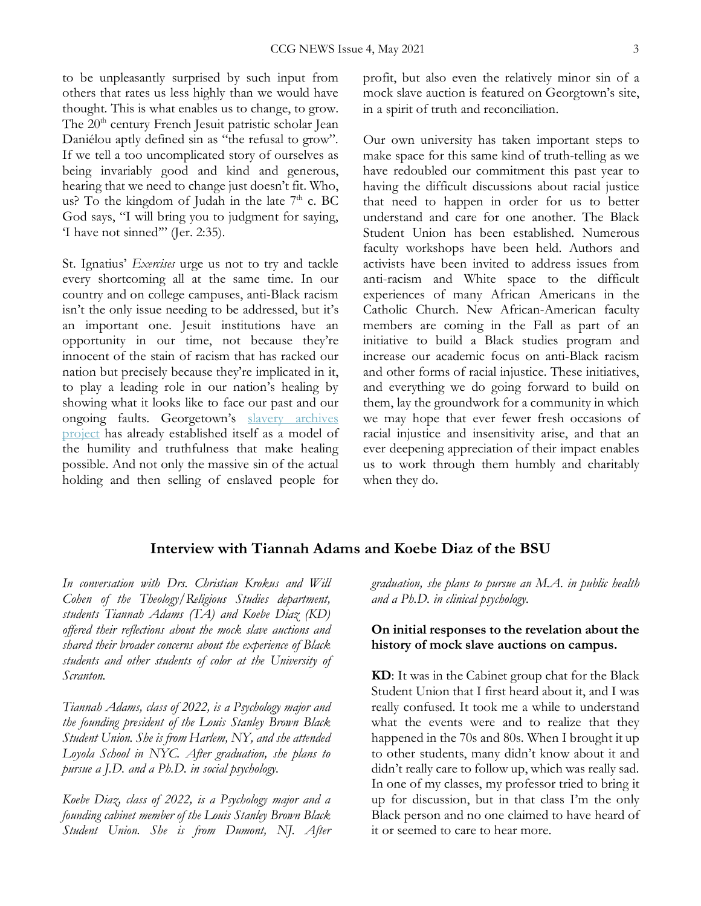to be unpleasantly surprised by such input from others that rates us less highly than we would have thought. This is what enables us to change, to grow. The 20<sup>th</sup> century French Jesuit patristic scholar Jean Daniélou aptly defined sin as "the refusal to grow". If we tell a too uncomplicated story of ourselves as being invariably good and kind and generous, hearing that we need to change just doesn't fit. Who, us? To the kingdom of Judah in the late  $7<sup>th</sup>$  c. BC God says, "I will bring you to judgment for saying, 'I have not sinned'" (Jer. 2:35).

St. Ignatius' *Exercises* urge us not to try and tackle every shortcoming all at the same time. In our country and on college campuses, anti-Black racism isn't the only issue needing to be addressed, but it's an important one. Jesuit institutions have an opportunity in our time, not because they're innocent of the stain of racism that has racked our nation but precisely because they're implicated in it, to play a leading role in our nation's healing by showing what it looks like to face our past and our ongoing faults. Georgetown's slavery archives project has already established itself as a model of the humility and truthfulness that make healing possible. And not only the massive sin of the actual holding and then selling of enslaved people for

profit, but also even the relatively minor sin of a mock slave auction is featured on Georgtown's site, in a spirit of truth and reconciliation.

Our own university has taken important steps to make space for this same kind of truth-telling as we have redoubled our commitment this past year to having the difficult discussions about racial justice that need to happen in order for us to better understand and care for one another. The Black Student Union has been established. Numerous faculty workshops have been held. Authors and activists have been invited to address issues from anti-racism and White space to the difficult experiences of many African Americans in the Catholic Church. New African-American faculty members are coming in the Fall as part of an initiative to build a Black studies program and increase our academic focus on anti-Black racism and other forms of racial injustice. These initiatives, and everything we do going forward to build on them, lay the groundwork for a community in which we may hope that ever fewer fresh occasions of racial injustice and insensitivity arise, and that an ever deepening appreciation of their impact enables us to work through them humbly and charitably when they do.

## **Interview with Tiannah Adams and Koebe Diaz of the BSU**

*In conversation with Drs. Christian Krokus and Will Cohen of the Theology/Religious Studies department, students Tiannah Adams (TA) and Koebe Diaz (KD) offered their reflections about the mock slave auctions and shared their broader concerns about the experience of Black students and other students of color at the University of Scranton.*

*Tiannah Adams, class of 2022, is a Psychology major and the founding president of the Louis Stanley Brown Black Student Union. She is from Harlem, NY, and she attended Loyola School in NYC. After graduation, she plans to pursue a J.D. and a Ph.D. in social psychology.*

*Koebe Diaz, class of 2022, is a Psychology major and a founding cabinet member of the Louis Stanley Brown Black Student Union. She is from Dumont, NJ. After*  *graduation, she plans to pursue an M.A. in public health and a Ph.D. in clinical psychology.*

#### **On initial responses to the revelation about the history of mock slave auctions on campus.**

**KD**: It was in the Cabinet group chat for the Black Student Union that I first heard about it, and I was really confused. It took me a while to understand what the events were and to realize that they happened in the 70s and 80s. When I brought it up to other students, many didn't know about it and didn't really care to follow up, which was really sad. In one of my classes, my professor tried to bring it up for discussion, but in that class I'm the only Black person and no one claimed to have heard of it or seemed to care to hear more.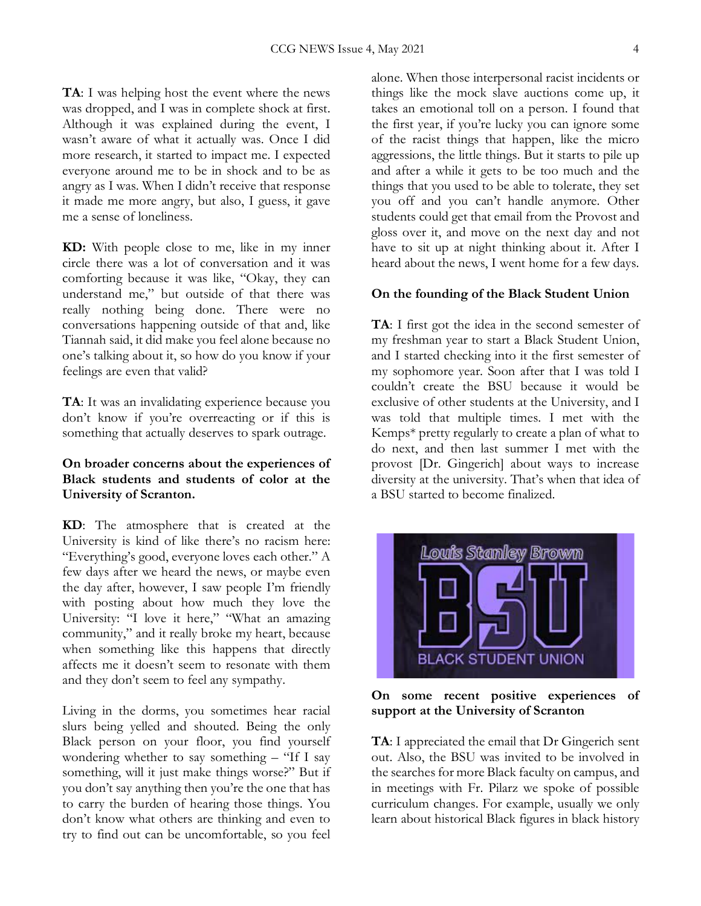**TA**: I was helping host the event where the news was dropped, and I was in complete shock at first. Although it was explained during the event, I wasn't aware of what it actually was. Once I did more research, it started to impact me. I expected everyone around me to be in shock and to be as angry as I was. When I didn't receive that response it made me more angry, but also, I guess, it gave me a sense of loneliness.

**KD:** With people close to me, like in my inner circle there was a lot of conversation and it was comforting because it was like, "Okay, they can understand me," but outside of that there was really nothing being done. There were no conversations happening outside of that and, like Tiannah said, it did make you feel alone because no one's talking about it, so how do you know if your feelings are even that valid?

**TA**: It was an invalidating experience because you don't know if you're overreacting or if this is something that actually deserves to spark outrage.

### **On broader concerns about the experiences of Black students and students of color at the University of Scranton.**

**KD**: The atmosphere that is created at the University is kind of like there's no racism here: "Everything's good, everyone loves each other." A few days after we heard the news, or maybe even the day after, however, I saw people I'm friendly with posting about how much they love the University: "I love it here," "What an amazing community," and it really broke my heart, because when something like this happens that directly affects me it doesn't seem to resonate with them and they don't seem to feel any sympathy.

Living in the dorms, you sometimes hear racial slurs being yelled and shouted. Being the only Black person on your floor, you find yourself wondering whether to say something – "If I say something, will it just make things worse?" But if you don't say anything then you're the one that has to carry the burden of hearing those things. You don't know what others are thinking and even to try to find out can be uncomfortable, so you feel alone. When those interpersonal racist incidents or things like the mock slave auctions come up, it takes an emotional toll on a person. I found that the first year, if you're lucky you can ignore some of the racist things that happen, like the micro aggressions, the little things. But it starts to pile up and after a while it gets to be too much and the things that you used to be able to tolerate, they set you off and you can't handle anymore. Other students could get that email from the Provost and gloss over it, and move on the next day and not have to sit up at night thinking about it. After I heard about the news, I went home for a few days.

#### **On the founding of the Black Student Union**

**TA**: I first got the idea in the second semester of my freshman year to start a Black Student Union, and I started checking into it the first semester of my sophomore year. Soon after that I was told I couldn't create the BSU because it would be exclusive of other students at the University, and I was told that multiple times. I met with the Kemps\* pretty regularly to create a plan of what to do next, and then last summer I met with the provost [Dr. Gingerich] about ways to increase diversity at the university. That's when that idea of a BSU started to become finalized.



**On some recent positive experiences of support at the University of Scranton**

**TA**: I appreciated the email that Dr Gingerich sent out. Also, the BSU was invited to be involved in the searches for more Black faculty on campus, and in meetings with Fr. Pilarz we spoke of possible curriculum changes. For example, usually we only learn about historical Black figures in black history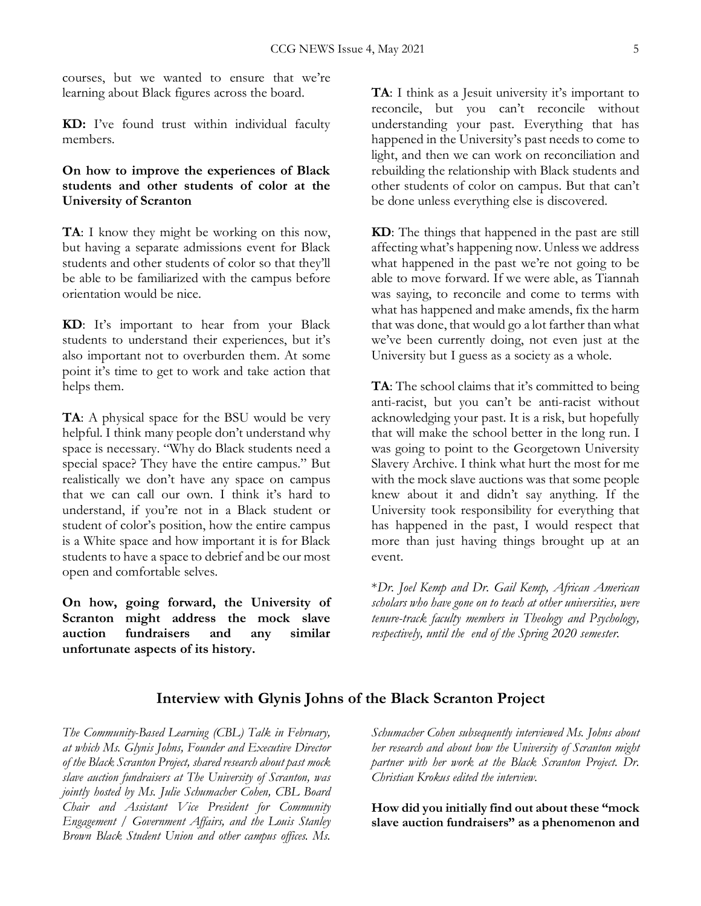courses, but we wanted to ensure that we're learning about Black figures across the board.

**KD:** I've found trust within individual faculty members.

## **On how to improve the experiences of Black students and other students of color at the University of Scranton**

**TA**: I know they might be working on this now, but having a separate admissions event for Black students and other students of color so that they'll be able to be familiarized with the campus before orientation would be nice.

**KD**: It's important to hear from your Black students to understand their experiences, but it's also important not to overburden them. At some point it's time to get to work and take action that helps them.

**TA**: A physical space for the BSU would be very helpful. I think many people don't understand why space is necessary. "Why do Black students need a special space? They have the entire campus." But realistically we don't have any space on campus that we can call our own. I think it's hard to understand, if you're not in a Black student or student of color's position, how the entire campus is a White space and how important it is for Black students to have a space to debrief and be our most open and comfortable selves.

**On how, going forward, the University of Scranton might address the mock slave auction fundraisers and any similar unfortunate aspects of its history.**

**TA**: I think as a Jesuit university it's important to reconcile, but you can't reconcile without understanding your past. Everything that has happened in the University's past needs to come to light, and then we can work on reconciliation and rebuilding the relationship with Black students and other students of color on campus. But that can't be done unless everything else is discovered.

**KD**: The things that happened in the past are still affecting what's happening now. Unless we address what happened in the past we're not going to be able to move forward. If we were able, as Tiannah was saying, to reconcile and come to terms with what has happened and make amends, fix the harm that was done, that would go a lot farther than what we've been currently doing, not even just at the University but I guess as a society as a whole.

**TA**: The school claims that it's committed to being anti-racist, but you can't be anti-racist without acknowledging your past. It is a risk, but hopefully that will make the school better in the long run. I was going to point to the Georgetown University Slavery Archive. I think what hurt the most for me with the mock slave auctions was that some people knew about it and didn't say anything. If the University took responsibility for everything that has happened in the past, I would respect that more than just having things brought up at an event.

\**Dr. Joel Kemp and Dr. Gail Kemp, African American scholars who have gone on to teach at other universities, were tenure-track faculty members in Theology and Psychology, respectively, until the end of the Spring 2020 semester.* 

## **Interview with Glynis Johns of the Black Scranton Project**

*The Community-Based Learning (CBL) Talk in February, at which Ms. Glynis Johns, Founder and Executive Director of the Black Scranton Project, shared research about past mock slave auction fundraisers at The University of Scranton, was jointly hosted by Ms. Julie Schumacher Cohen, CBL Board Chair and Assistant Vice President for Community Engagement / Government Affairs, and the Louis Stanley Brown Black Student Union and other campus offices. Ms.* 

*Schumacher Cohen subsequently interviewed Ms. Johns about her research and about how the University of Scranton might partner with her work at the Black Scranton Project. Dr. Christian Krokus edited the interview.*

**How did you initially find out about these "mock slave auction fundraisers" as a phenomenon and**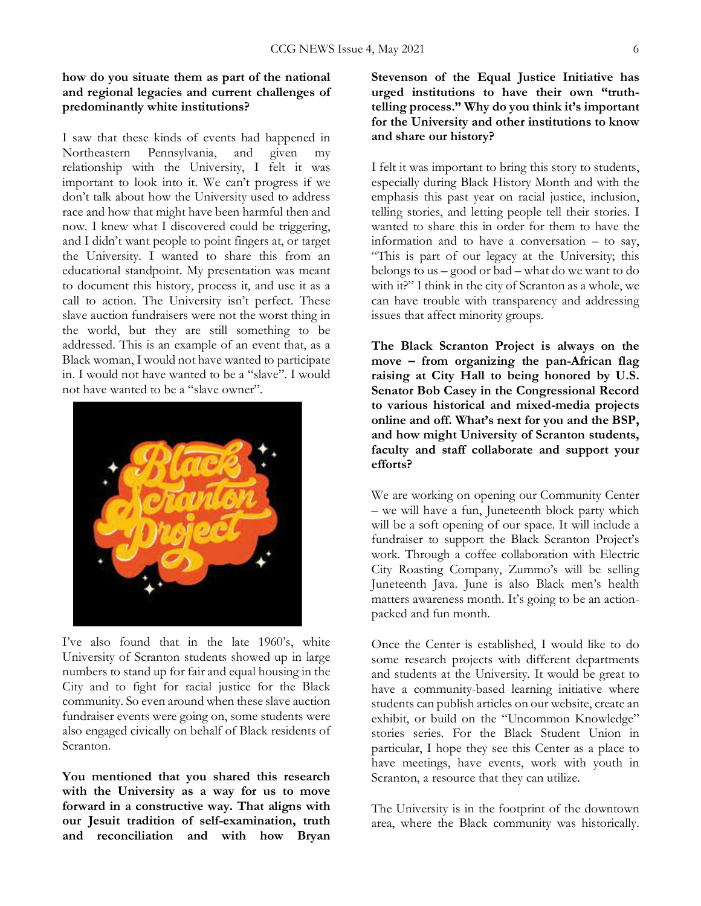#### **how do you situate them as part of the national and regional legacies and current challenges of predominantly white institutions?**

I saw that these kinds of events had happened in Northeastern Pennsylvania, and given my relationship with the University, I felt it was important to look into it. We can't progress if we don't talk about how the University used to address race and how that might have been harmful then and now. I knew what I discovered could be triggering, and I didn't want people to point fingers at, or target the University. I wanted to share this from an educational standpoint. My presentation was meant to document this history, process it, and use it as a call to action. The University isn't perfect. These slave auction fundraisers were not the worst thing in the world, but they are still something to be addressed. This is an example of an event that, as a Black woman, I would not have wanted to participate in. I would not have wanted to be a "slave". I would not have wanted to be a "slave owner".



I've also found that in the late 1960's, white University of Scranton students showed up in large numbers to stand up for fair and equal housing in the City and to fight for racial justice for the Black community. So even around when these slave auction fundraiser events were going on, some students were also engaged civically on behalf of Black residents of Scranton.

**You mentioned that you shared this research with the University as a way for us to move forward in a constructive way. That aligns with our Jesuit tradition of self-examination, truth and reconciliation and with how Bryan** 

**Stevenson of the Equal Justice Initiative has urged institutions to have their own "truthtelling process." Why do you think it's important for the University and other institutions to know and share our history?**

I felt it was important to bring this story to students, especially during Black History Month and with the emphasis this past year on racial justice, inclusion, telling stories, and letting people tell their stories. I wanted to share this in order for them to have the information and to have a conversation – to say, "This is part of our legacy at the University; this belongs to us – good or bad – what do we want to do with it?" I think in the city of Scranton as a whole, we can have trouble with transparency and addressing issues that affect minority groups.

**The Black Scranton Project is always on the move – from organizing the pan-African flag raising at City Hall to being honored by U.S. Senator Bob Casey in the Congressional Record to various historical and mixed-media projects online and off. What's next for you and the BSP, and how might University of Scranton students, faculty and staff collaborate and support your efforts?**

We are working on opening our Community Center – we will have a fun, Juneteenth block party which will be a soft opening of our space. It will include a fundraiser to support the Black Scranton Project's work. Through a coffee collaboration with Electric City Roasting Company, Zummo's will be selling Juneteenth Java. June is also Black men's health matters awareness month. It's going to be an actionpacked and fun month.

Once the Center is established, I would like to do some research projects with different departments and students at the University. It would be great to have a community-based learning initiative where students can publish articles on our website, create an exhibit, or build on the "Uncommon Knowledge" stories series. For the Black Student Union in particular, I hope they see this Center as a place to have meetings, have events, work with youth in Scranton, a resource that they can utilize.

The University is in the footprint of the downtown area, where the Black community was historically.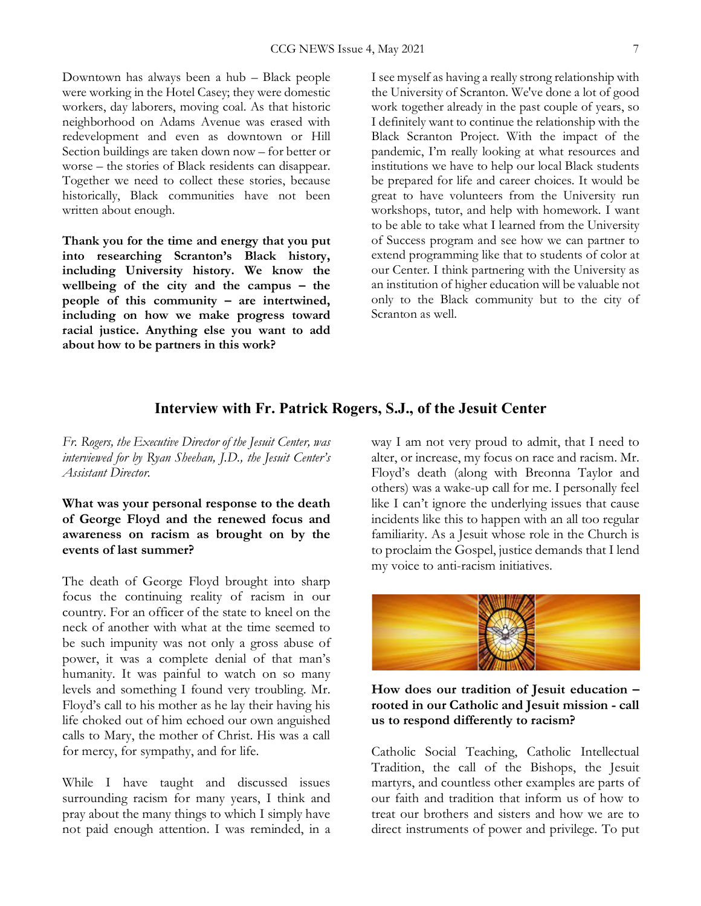Downtown has always been a hub – Black people were working in the Hotel Casey; they were domestic workers, day laborers, moving coal. As that historic neighborhood on Adams Avenue was erased with redevelopment and even as downtown or Hill Section buildings are taken down now – for better or worse – the stories of Black residents can disappear. Together we need to collect these stories, because historically, Black communities have not been written about enough.

**Thank you for the time and energy that you put into researching Scranton's Black history, including University history. We know the wellbeing of the city and the campus – the people of this community – are intertwined, including on how we make progress toward racial justice. Anything else you want to add about how to be partners in this work?**

I see myself as having a really strong relationship with the University of Scranton. We've done a lot of good work together already in the past couple of years, so I definitely want to continue the relationship with the Black Scranton Project. With the impact of the pandemic, I'm really looking at what resources and institutions we have to help our local Black students be prepared for life and career choices. It would be great to have volunteers from the University run workshops, tutor, and help with homework. I want to be able to take what I learned from the University of Success program and see how we can partner to extend programming like that to students of color at our Center. I think partnering with the University as an institution of higher education will be valuable not only to the Black community but to the city of Scranton as well.

## **Interview with Fr. Patrick Rogers, S.J., of the Jesuit Center**

*Fr. Rogers, the Executive Director of the Jesuit Center, was interviewed for by Ryan Sheehan, J.D., the Jesuit Center's Assistant Director.*

**What was your personal response to the death of George Floyd and the renewed focus and awareness on racism as brought on by the events of last summer?**

The death of George Floyd brought into sharp focus the continuing reality of racism in our country. For an officer of the state to kneel on the neck of another with what at the time seemed to be such impunity was not only a gross abuse of power, it was a complete denial of that man's humanity. It was painful to watch on so many levels and something I found very troubling. Mr. Floyd's call to his mother as he lay their having his life choked out of him echoed our own anguished calls to Mary, the mother of Christ. His was a call for mercy, for sympathy, and for life.

While I have taught and discussed issues surrounding racism for many years, I think and pray about the many things to which I simply have not paid enough attention. I was reminded, in a

way I am not very proud to admit, that I need to alter, or increase, my focus on race and racism. Mr. Floyd's death (along with Breonna Taylor and others) was a wake-up call for me. I personally feel like I can't ignore the underlying issues that cause incidents like this to happen with an all too regular familiarity. As a Jesuit whose role in the Church is to proclaim the Gospel, justice demands that I lend my voice to anti-racism initiatives.



**How does our tradition of Jesuit education – rooted in our Catholic and Jesuit mission - call us to respond differently to racism?**

Catholic Social Teaching, Catholic Intellectual Tradition, the call of the Bishops, the Jesuit martyrs, and countless other examples are parts of our faith and tradition that inform us of how to treat our brothers and sisters and how we are to direct instruments of power and privilege. To put